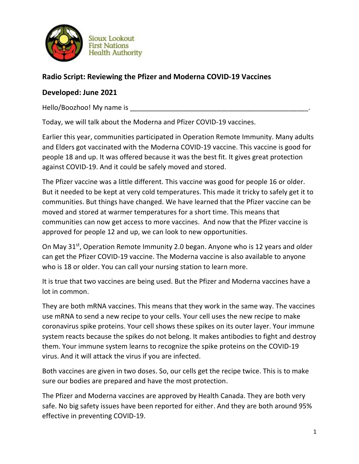

**Sioux Lookout First Nations Health Authority** 

## **Radio Script: Reviewing the Pfizer and Moderna COVID-19 Vaccines**

## **Developed: June 2021**

Hello/Boozhoo! My name is

Today, we will talk about the Moderna and Pfizer COVID-19 vaccines.

Earlier this year, communities participated in Operation Remote Immunity. Many adults and Elders got vaccinated with the Moderna COVID-19 vaccine. This vaccine is good for people 18 and up. It was offered because it was the best fit. It gives great protection against COVID-19. And it could be safely moved and stored.

The Pfizer vaccine was a little different. This vaccine was good for people 16 or older. But it needed to be kept at very cold temperatures. This made it tricky to safely get it to communities. But things have changed. We have learned that the Pfizer vaccine can be moved and stored at warmer temperatures for a short time. This means that communities can now get access to more vaccines. And now that the Pfizer vaccine is approved for people 12 and up, we can look to new opportunities.

On May 31<sup>st</sup>, Operation Remote Immunity 2.0 began. Anyone who is 12 years and older can get the Pfizer COVID-19 vaccine. The Moderna vaccine is also available to anyone who is 18 or older. You can call your nursing station to learn more.

It is true that two vaccines are being used. But the Pfizer and Moderna vaccines have a lot in common.

They are both mRNA vaccines. This means that they work in the same way. The vaccines use mRNA to send a new recipe to your cells. Your cell uses the new recipe to make coronavirus spike proteins. Your cell shows these spikes on its outer layer. Your immune system reacts because the spikes do not belong. It makes antibodies to fight and destroy them. Your immune system learns to recognize the spike proteins on the COVID-19 virus. And it will attack the virus if you are infected.

Both vaccines are given in two doses. So, our cells get the recipe twice. This is to make sure our bodies are prepared and have the most protection.

The Pfizer and Moderna vaccines are approved by Health Canada. They are both very safe. No big safety issues have been reported for either. And they are both around 95% effective in preventing COVID-19.